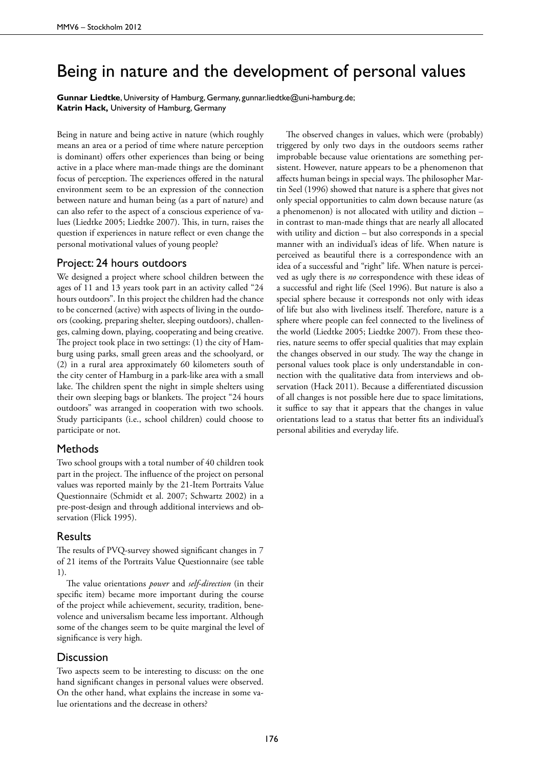# Being in nature and the development of personal values

**Gunnar Liedtke**, University of Hamburg, Germany, gunnar.liedtke@uni-hamburg.de; **Katrin Hack,** University of Hamburg, Germany

Being in nature and being active in nature (which roughly means an area or a period of time where nature perception is dominant) offers other experiences than being or being active in a place where man-made things are the dominant focus of perception. The experiences offered in the natural environment seem to be an expression of the connection between nature and human being (as a part of nature) and can also refer to the aspect of a conscious experience of values (Liedtke 2005; Liedtke 2007). This, in turn, raises the question if experiences in nature reflect or even change the personal motivational values of young people?

## Project: 24 hours outdoors

We designed a project where school children between the ages of 11 and 13 years took part in an activity called "24 hours outdoors". In this project the children had the chance to be concerned (active) with aspects of living in the outdoors (cooking, preparing shelter, sleeping outdoors), challenges, calming down, playing, cooperating and being creative. The project took place in two settings: (1) the city of Hamburg using parks, small green areas and the schoolyard, or (2) in a rural area approximately 60 kilometers south of the city center of Hamburg in a park-like area with a small lake. The children spent the night in simple shelters using their own sleeping bags or blankets. The project "24 hours outdoors" was arranged in cooperation with two schools. Study participants (i.e., school children) could choose to participate or not.

### Methods

Two school groups with a total number of 40 children took part in the project. The influence of the project on personal values was reported mainly by the 21-Item Portraits Value Questionnaire (Schmidt et al. 2007; Schwartz 2002) in a pre-post-design and through additional interviews and observation (Flick 1995).

### Results

The results of PVQ-survey showed significant changes in 7 of 21 items of the Portraits Value Questionnaire (see table 1).

The value orientations *power* and *self-direction* (in their specific item) became more important during the course of the project while achievement, security, tradition, benevolence and universalism became less important. Although some of the changes seem to be quite marginal the level of significance is very high.

### **Discussion**

Two aspects seem to be interesting to discuss: on the one hand significant changes in personal values were observed. On the other hand, what explains the increase in some value orientations and the decrease in others?

The observed changes in values, which were (probably) triggered by only two days in the outdoors seems rather improbable because value orientations are something persistent. However, nature appears to be a phenomenon that affects human beings in special ways. The philosopher Martin Seel (1996) showed that nature is a sphere that gives not only special opportunities to calm down because nature (as a phenomenon) is not allocated with utility and diction – in contrast to man-made things that are nearly all allocated with utility and diction – but also corresponds in a special manner with an individual's ideas of life. When nature is perceived as beautiful there is a correspondence with an idea of a successful and "right" life. When nature is perceived as ugly there is *no* correspondence with these ideas of a successful and right life (Seel 1996). But nature is also a special sphere because it corresponds not only with ideas of life but also with liveliness itself. Therefore, nature is a sphere where people can feel connected to the liveliness of the world (Liedtke 2005; Liedtke 2007). From these theories, nature seems to offer special qualities that may explain the changes observed in our study. The way the change in personal values took place is only understandable in connection with the qualitative data from interviews and observation (Hack 2011). Because a differentiated discussion of all changes is not possible here due to space limitations, it suffice to say that it appears that the changes in value orientations lead to a status that better fits an individual's personal abilities and everyday life.